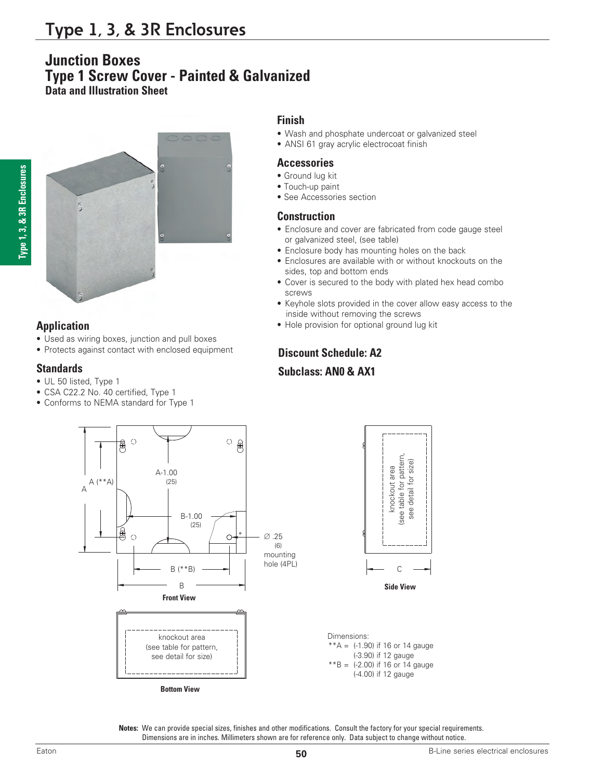# **Junction Boxes Type 1 Screw Cover - Painted & Galvanized Data and Illustration Sheet**



### **Application**

- Used as wiring boxes, junction and pull boxes
- Protects against contact with enclosed equipment

### **Standards**

- UL 50 listed, Type 1
- CSA C22.2 No. 40 certified, Type 1
- Conforms to NEMA standard for Type 1

## **Finish**

- Wash and phosphate undercoat or galvanized steel
- ANSI 61 gray acrylic electrocoat finish

#### **Accessories**

- Ground lug kit
- Touch-up paint
- See Accessories section

#### **Construction**

- Enclosure and cover are fabricated from code gauge steel or galvanized steel, (see table)
- Enclosure body has mounting holes on the back
- Enclosures are available with or without knockouts on the sides, top and bottom ends
- Cover is secured to the body with plated hex head combo screws
- Keyhole slots provided in the cover allow easy access to the inside without removing the screws
- Hole provision for optional ground lug kit

## **Discount Schedule: A2**

# **Subclass: AN0 & AX1**



**Notes:** We can provide special sizes, finishes and other modifications. Consult the factory for your special requirements. Dimensions are in inches. Millimeters shown are for reference only. Data subject to change without notice.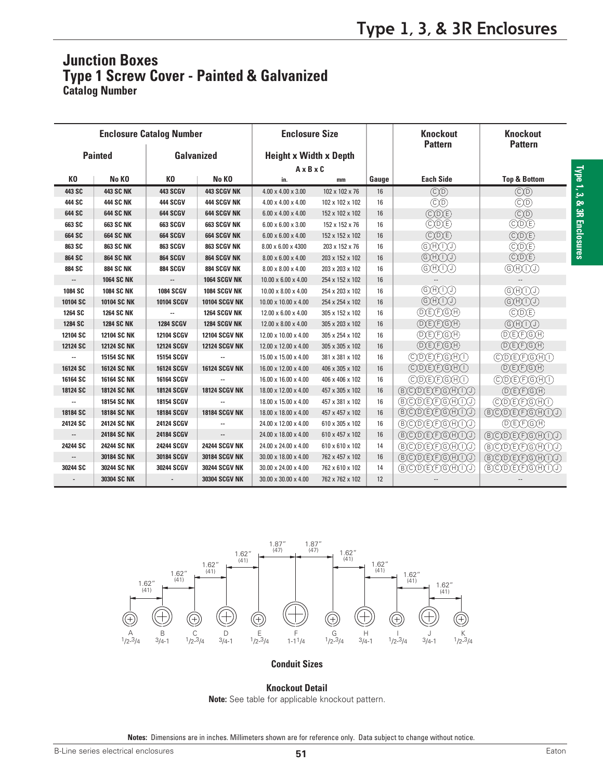# **Junction Boxes Type 1 Screw Cover - Painted & Galvanized Catalog Number**

| <b>Enclosure Catalog Number</b>     |                    |                   |                               | <b>Enclosure Size</b>                              |                 |       | <b>Knockout</b><br><b>Pattern</b>      | <b>Knockout</b><br><b>Pattern</b>  |  |
|-------------------------------------|--------------------|-------------------|-------------------------------|----------------------------------------------------|-----------------|-------|----------------------------------------|------------------------------------|--|
| <b>Painted</b><br><b>Galvanized</b> |                    |                   | <b>Height x Width x Depth</b> |                                                    |                 |       |                                        |                                    |  |
|                                     |                    |                   | $A \times B \times C$         |                                                    |                 |       |                                        |                                    |  |
| KO                                  | No KO              | K <sub>0</sub>    | No KO                         | in.<br>mm                                          |                 | Gauge | <b>Each Side</b>                       | <b>Top &amp; Bottom</b>            |  |
| 443 SC                              | <b>443 SC NK</b>   | <b>443 SCGV</b>   | <b>443 SCGV NK</b>            | 4.00 x 4.00 x 3.00<br>102 x 102 x 76               |                 | 16    | $\mathbb{C}(\mathbb{D})$               | $\odot$ <sup>O</sup>               |  |
| 444 SC                              | <b>444 SC NK</b>   | <b>444 SCGV</b>   | <b>444 SCGV NK</b>            | $4.00 \times 4.00 \times 4.00$                     | 102 x 102 x 102 | 16    | $\odot$ <sup>O</sup>                   | $\circled{c}$                      |  |
| 644 SC                              | <b>644 SC NK</b>   | 644 SCGV          | <b>644 SCGV NK</b>            | $6.00 \times 4.00 \times 4.00$                     | 152 x 102 x 102 | 16    | <b>CO</b> E                            | $\circledcirc$                     |  |
| 663 SC                              | <b>663 SC NK</b>   | <b>663 SCGV</b>   | <b>663 SCGV NK</b>            | $6.00 \times 6.00 \times 3.00$                     | 152 x 152 x 76  | 16    | $\mathbb{C}(\overline{D})$             | CDE                                |  |
| 664 SC                              | <b>664 SC NK</b>   | <b>664 SCGV</b>   | <b>664 SCGV NK</b>            | $6.00 \times 6.00 \times 4.00$                     | 152 x 152 x 102 | 16    | CDE                                    | $\mathcal{O}(D)(E)$                |  |
| 863 SC                              | <b>863 SC NK</b>   | 863 SCGV          | <b>863 SCGV NK</b>            | 8.00 x 6.00 x 4300                                 | 203 x 152 x 76  | 16    |                                        | $\mathbb{C}(\mathbb{D})\mathbb{E}$ |  |
| 864 SC                              | <b>864 SC NK</b>   | <b>864 SCGV</b>   | <b>864 SCGV NK</b>            | $8.00 \times 6.00 \times 4.00$                     | 203 x 152 x 102 | 16    | $\bigoplus(\text{H})\bigcap(\text{H})$ | $\mathcal{O}(D)(E)$                |  |
| 884 SC                              | <b>884 SC NK</b>   | <b>884 SCGV</b>   | 884 SCGV NK                   | $8.00 \times 8.00 \times 4.00$<br>203 x 203 x 102  |                 | 16    | GHAD                                   | GAND                               |  |
| --                                  | <b>1064 SC NK</b>  | ۰.                | <b>1064 SCGV NK</b>           | $10.00 \times 6.00 \times 4.00$<br>254 x 152 x 102 |                 | 16    | $\overline{\phantom{a}}$               |                                    |  |
| 1084 SC                             | <b>1084 SC NK</b>  | <b>1084 SCGV</b>  | <b>1084 SCGV NK</b>           | $10.00 \times 8.00 \times 4.00$                    | 254 x 203 x 102 | 16    | $\bigoplus(\text{H})\bigcap(\text{H})$ | @OO                                |  |
| 10104 SC                            | <b>10104 SC NK</b> | 10104 SCGV        | <b>10104 SCGV NK</b>          | 10.00 x 10.00 x 4.00                               | 254 x 254 x 102 | 16    | $\bigcircledR\oplus\bigcirc$           | $\left(\widehat{G}(H)(1)\right)$   |  |
| 1264 SC                             | <b>1264 SC NK</b>  |                   | <b>1264 SCGV NK</b>           | 12.00 x 6.00 x 4.00                                | 305 x 152 x 102 | 16    | DEXFXGXA                               | <b>CDE</b>                         |  |
| 1284 SC                             | <b>1284 SC NK</b>  | <b>1284 SCGV</b>  | 1284 SCGV NK                  | 12.00 x 8.00 x 4.00                                | 305 x 203 x 102 | 16    | (D)E)F)G)H)                            | $\left(\widehat{G}(H)(1)\right)$   |  |
| 12104 SC                            | <b>12104 SC NK</b> | <b>12104 SCGV</b> | <b>12104 SCGV NK</b>          | 12.00 x 10.00 x 4.00                               | 305 x 254 x 102 | 16    | <b>DEFIGH</b>                          | <b>DEFIGH</b>                      |  |
| 12124 SC                            | <b>12124 SC NK</b> | <b>12124 SCGV</b> | <b>12124 SCGV NK</b>          | 12.00 x 12.00 x 4.00                               | 305 x 305 x 102 | 16    | <b>DEFIGH</b>                          | <b>DEFGA</b>                       |  |
|                                     | 15154 SC NK        | 15154 SCGV        | ۰.                            | 15.00 x 15.00 x 4.00<br>381 x 381 x 102            |                 | 16    | ( C(D) E) F) G(H) T                    | COEFGAD                            |  |
| 16124 SC                            | <b>16124 SC NK</b> | 16124 SCGV        | <b>16124 SCGV NK</b>          | 16.00 x 12.00 x 4.00<br>406 x 305 x 102            |                 | 16    | COEFIGHO                               | <b>DEFIGH</b>                      |  |
| 16164 SC                            | 16164 SC NK        | 16164 SCGV        |                               | 16.00 x 16.00 x 4.00                               | 406 x 406 x 102 | 16    | COEFGAD                                | COEFIGHO                           |  |
| 18124 SC                            | <b>18124 SC NK</b> | <b>18124 SCGV</b> | <b>18124 SCGV NK</b>          | 18.00 x 12.00 x 4.00                               | 457 x 305 x 102 | 16    | BCDEFGHUD                              | (D) E) F) G) H)                    |  |
|                                     | 18154 SC NK        | 18154 SCGV        |                               | 18.00 x 15.00 x 4.00                               | 457 x 381 x 102 | 16    | BCODE(F)G(H) T.O                       | $\mathcal{O}(D(E)F)G(H)$           |  |
| 18184 SC                            | <b>18184 SC NK</b> | 18184 SCGV        | <b>18184 SCGV NK</b>          | 18.00 x 18.00 x 4.00<br>457 x 457 x 102            |                 | 16    | BODEFGHUO                              | BCDEFGHUD                          |  |
| 24124 SC                            | <b>24124 SC NK</b> | 24124 SCGV        | --                            | 24.00 x 12.00 x 4.00<br>610 x 305 x 102            |                 | 16    | BCODE(F)G(H)(I)                        | <b>DELEGH</b>                      |  |
|                                     | <b>24184 SC NK</b> | 24184 SCGV        | --                            | 24.00 x 18.00 x 4.00<br>610 x 457 x 102            |                 | 16    | <b>BCDEFGHILL</b>                      | BCOEFGH(I)                         |  |
| 24244 SC                            | <b>24244 SC NK</b> | <b>24244 SCGV</b> | <b>24244 SCGV NK</b>          | 24.00 x 24.00 x 4.00                               | 610 x 610 x 102 | 14    | BCDEFGHUD                              | BCDEFGHUD                          |  |
|                                     | 30184 SC NK        | 30184 SCGV        | <b>30184 SCGV NK</b>          | 30.00 x 18.00 x 4.00                               | 762 x 457 x 102 | 16    | BCDEECHOO                              | BCOEFGH00                          |  |
| 30244 SC                            | 30244 SC NK        | 30244 SCGV        | <b>30244 SCGV NK</b>          | 30.00 x 24.00 x 4.00                               | 762 x 610 x 102 | 14    | BODEEGHOO                              | BCOEEGH00                          |  |
|                                     | 30304 SC NK        |                   | <b>30304 SCGV NK</b>          | 30.00 x 30.00 x 4.00                               | 762 x 762 x 102 | 12    |                                        |                                    |  |



#### **Conduit Sizes**

#### **Knockout Detail**

**Note:** See table for applicable knockout pattern.

**Notes:** Dimensions are in inches. Millimeters shown are for reference only. Data subject to change without notice.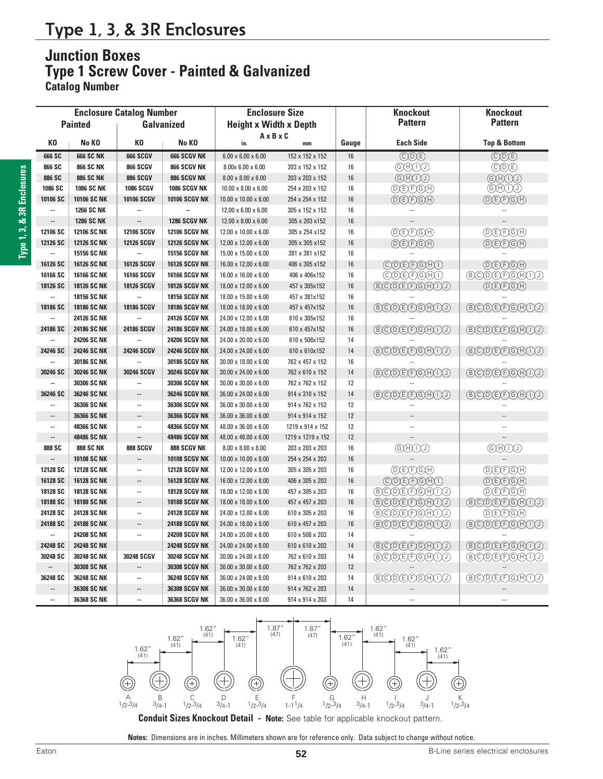# **Type 1, 3, & 3R Enclosures**

# **Junction Boxes Type 1 Screw Cover - Painted & Galvanized**

**Catalog Number**

| <b>Enclosure Catalog Number</b>     |                    |                          |                               | <b>Enclosure Size</b>                             |                   |                | <b>Knockout</b>                                                                  | <b>Knockout</b>                                   |  |
|-------------------------------------|--------------------|--------------------------|-------------------------------|---------------------------------------------------|-------------------|----------------|----------------------------------------------------------------------------------|---------------------------------------------------|--|
| <b>Painted</b><br><b>Galvanized</b> |                    |                          | <b>Height x Width x Depth</b> |                                                   |                   | <b>Pattern</b> | <b>Pattern</b>                                                                   |                                                   |  |
|                                     |                    |                          |                               | $A \times B \times C$                             |                   |                |                                                                                  |                                                   |  |
| KO                                  | No KO              | КO                       | No KO                         | in.                                               | mm                | Gauge          | <b>Each Side</b>                                                                 | <b>Top &amp; Bottom</b>                           |  |
| 666 SC                              | <b>666 SC NK</b>   | <b>666 SCGV</b>          | <b>666 SCGV NK</b>            | 152 x 152 x 152<br>$6.00 \times 6.00 \times 6.00$ |                   | 16             | $\overline{(\mathbb{C})(\mathbb{D})(\mathbb{E})}$                                | $\overline{(\mathbb{C})(\mathbb{D})(\mathbb{E})}$ |  |
| 866 SC                              | <b>866 SC NK</b>   | <b>866 SCGV</b>          | 866 SCGV NK                   | $8.00 \times 6.00 \times 6.00$                    | 203 x 152 x 152   | 16             | GAOO                                                                             | <b>CDE</b>                                        |  |
| 886 SC                              | <b>886 SC NK</b>   | <b>886 SCGV</b>          | 886 SCGV NK                   | $8.00 \times 8.00 \times 6.00$                    | 203 x 203 x 152   | 16             | $\bigodot\bigl(\mathrm{H}\bigl(\mathrm{H}\bigl)\bigl(\mathrm{H}\bigl)\bigl)$     | $\bigoplus(\text{H})\bigoplus(\text{H})$          |  |
| 1086 SC                             | <b>1086 SC NK</b>  | <b>1086 SCGV</b>         | <b>1086 SCGV NK</b>           | $10.00 \times 8.00 \times 6.00$                   | 254 x 203 x 152   | 16             | <b>DEFIGH</b>                                                                    | GHUD                                              |  |
| 10106 SC                            | 10106 SC NK        | 10106 SCGV               | <b>10106 SCGV NK</b>          | 10.00 x 10.00 x 6.00                              | 254 x 254 x 152   | 16             | (D(E)F)G(H)                                                                      | <b>DECEGA</b>                                     |  |
| --                                  | <b>1266 SC NK</b>  |                          |                               | 12.00 x 6.00 x 6.00                               | 305 x 152 x 152   | 16             |                                                                                  |                                                   |  |
|                                     | <b>1286 SC NK</b>  | --                       | 1286 SCGV NK                  | $12.00 \times 8.00 \times 6.00$                   | 305 x 203 x 152   | 16             |                                                                                  |                                                   |  |
| 12106 SC                            | <b>12106 SC NK</b> | <b>12106 SCGV</b>        | <b>12106 SCGV NK</b>          | 12.00 x 10.00 x 6.00                              | 305 x 254 x 152   | 16             | <b>DEFIGH</b>                                                                    | <b>DECEGA</b>                                     |  |
| 12126 SC                            | <b>12126 SC NK</b> | <b>12126 SCGV</b>        | <b>12126 SCGV NK</b>          | 12.00 x 12.00 x 6.00                              | 305 x 305 x 152   | 16             | $(D)E)E$ $(H)$                                                                   | <b>DECFIGH</b>                                    |  |
|                                     | 15156 SC NK        |                          | <b>15156 SCGV NK</b>          | 15.00 x 15.00 x 6.00                              | 381 x 381 x 152   | 16             |                                                                                  |                                                   |  |
| 16126 SC                            | <b>16126 SC NK</b> | 16126 SCGV               | <b>16126 SCGV NK</b>          | 16.00 x 12.00 x 6.00                              | 406 x 305 x 152   | 16             | $\overline{(\mathbb{C})\mathbb{D}(\mathbb{E})\mathbb{F})(\mathbb{G})\mathbb{H}}$ | (D)E)F)G)H)                                       |  |
| 16166 SC                            | 16166 SC NK        | 16166 SCGV               | <b>16166 SCGV NK</b>          | 16.00 x 16.00 x 6.00                              | 406 x 406x152     | 16             | COEFGAD                                                                          | <b>BCOEFGHUO</b>                                  |  |
| 18126 SC                            | 18126 SC NK        | <b>18126 SCGV</b>        | <b>18126 SCGV NK</b>          | 18.00 x 12.00 x 6.00                              | 457 x 305x152     | 16             | BCDEFGHUD                                                                        | <b>DEFIGH</b>                                     |  |
|                                     | 18156 SC NK        | Ξ.                       | <b>18156 SCGV NK</b>          | 18.00 x 15.00 x 6.00                              | 457 x 381x152     | 16             |                                                                                  |                                                   |  |
| 18186 SC                            | 18186 SC NK        | <b>18186 SCGV</b>        | <b>18186 SCGV NK</b>          | 18.00 x 18.00 x 6.00                              | 457 x 457x152     | 16             | <b>BCDEFGHUI</b>                                                                 | <b>BCDEFGHIO</b>                                  |  |
| ä.                                  | 24126 SC NK        | $\sim$                   | <b>24126 SCGV NK</b>          | 24.00 x 12.00 x 6.00                              | 610 x 305x152     | 16             |                                                                                  |                                                   |  |
| 24186 SC                            | 24186 SC NK        | 24186 SCGV               | <b>24186 SCGV NK</b>          | 24.00 x 18.00 x 6.00                              | 610 x 457x152     | $16\,$         | BCDEEGH00                                                                        | BCDEFGHU0                                         |  |
|                                     | 24206 SC NK        |                          | <b>24206 SCGV NK</b>          | 24.00 x 20.00 x 6.00                              | 610 x 508x152     | 14             |                                                                                  |                                                   |  |
| 24246 SC                            | 24246 SC NK        | <b>24246 SCGV</b>        | <b>24246 SCGV NK</b>          | 24.00 x 24.00 x 6.00                              | 610 x 610x152     | 14             | <b>BCDEFGHIO</b>                                                                 | <b>BCDEFGHIO</b>                                  |  |
|                                     | 30186 SC NK        |                          | <b>30186 SCGV NK</b>          | 30.00 x 18.00 x 6.00                              | 762 x 457 x 152   | 16             |                                                                                  |                                                   |  |
| 30246 SC                            | 30246 SC NK        | 30246 SCGV               | <b>30246 SCGV NK</b>          | 30.00 x 24.00 x 6.00                              | 762 x 610 x 152   | 14             | BCOEFGHU                                                                         | BCOEFGHU                                          |  |
|                                     | 30306 SC NK        | μ.                       | 30306 SCGV NK                 | 30.00 x 30.00 x 6.00                              | 762 x 762 x 152   | 12             |                                                                                  |                                                   |  |
| 36246 SC                            | 36246 SC NK        | $\qquad \qquad \cdots$   | <b>36246 SCGV NK</b>          | 36.00 x 24.00 x 6.00                              | 914 x 310 x 152   | 14             | <b>BCODE(F)G(H)(T)</b>                                                           | BCDEFGH00                                         |  |
| цü                                  | 36306 SC NK        | $\overline{\phantom{a}}$ | 36306 SCGV NK                 | 36.00 x 30.00 x 6.00                              | 914 x 762 x 152   | 12             |                                                                                  |                                                   |  |
| u.                                  | 36366 SC NK        | $\cdots$                 | <b>36366 SCGV NK</b>          | 36.00 x 36.00 x 6.00                              | 914 x 914 x 152   | 12             |                                                                                  |                                                   |  |
| $\overline{a}$                      | 48366 SC NK        | $\ddotsc$                | <b>48366 SCGV NK</b>          | 48.00 x 36.00 x 6.00                              | 1219 x 914 x 152  | 12             | $\sim$                                                                           |                                                   |  |
|                                     | 48486 SC NK        | --                       | <b>48486 SCGV NK</b>          | 48.00 x 48.00 x 6.00                              | 1219 x 1219 x 152 | 12             |                                                                                  |                                                   |  |
| 888 SC                              | <b>888 SC NK</b>   | <b>888 SCGV</b>          | 888 SCGV NK                   | $8.00 \times 8.00 \times 8.00$                    | 203 x 203 x 203   | 16             | @@VV                                                                             | GOHOO                                             |  |
|                                     | <b>10108 SC NK</b> | --                       | <b>10108 SCGV NK</b>          | 10.00 x 10.00 x 8.00                              | 254 x 254 x 203   | 16             |                                                                                  |                                                   |  |
| 12128 SC                            | <b>12128 SC NK</b> | $\overline{\phantom{a}}$ | <b>12128 SCGV NK</b>          | 12.00 x 12.00 x 8.00                              | 305 x 305 x 203   | 16             | <b>DECEGH</b>                                                                    | <b>DEFIGH</b>                                     |  |
| 16128 SC                            | <b>16128 SC NK</b> | $\overline{\phantom{a}}$ | <b>16128 SCGV NK</b>          | 16.00 x 12.00 x 8.00                              | 406 x 305 x 203   | 16             | COEFIGHO                                                                         | (D)E)F)G)H)                                       |  |
| 18128 SC                            | <b>18128 SC NK</b> | $\overline{\phantom{a}}$ | <b>18128 SCGV NK</b>          | 18.00 x 12.00 x 8.00                              | 457 x 305 x 203   | 16             | BCOEFGH00                                                                        | <b>DEFGA</b>                                      |  |
| 18188 SC                            | <b>18188 SC NK</b> | $\overline{\phantom{a}}$ | <b>18188 SCGV NK</b>          | 18.00 x 18.00 x 8.00                              | 457 x 457 x 203   | 16             | <b>BCDEFGHIO</b>                                                                 | BCOEFGHU                                          |  |
| 24128 SC                            | 24128 SC NK        | ÷.                       | <b>24128 SCGV NK</b>          | 24.00 x 12.00 x 8.00                              | 610 x 305 x 203   | 16             | BODEFGHOO                                                                        | <b>OCEOH</b>                                      |  |
| 24188 SC                            | <b>24188 SC NK</b> | $\cdots$                 | <b>24188 SCGV NK</b>          | 24.00 x 18.00 x 8.00                              | 610 x 457 x 203   | 16             | BCODE(F)G(H)(I)                                                                  | <b>BCODE(F)G(H)T)</b>                             |  |
|                                     | 24208 SC NK        | Ξ.                       | <b>24208 SCGV NK</b>          | 24.00 x 20.00 x 8.00                              | 610 x 508 x 203   | 14             |                                                                                  |                                                   |  |
| 24248 SC                            | <b>24248 SC NK</b> |                          | <b>24248 SCGV NK</b>          | 24.00 x 24.00 x 8.00                              | 610 x 610 x 203   | 14             | BODEFGH00                                                                        | BODEFGHUO                                         |  |
| 30248 SC                            | 30248 SC NK        | 30248 SCGV               | <b>30248 SCGV NK</b>          | 30.00 x 24.00 x 8.00                              | 762 x 610 x 203   | 14             | BODEFGH00                                                                        | BCOEFGH00                                         |  |
|                                     | 30308 SC NK        | $\frac{1}{2}$            | <b>30308 SCGV NK</b>          | 30.00 x 30.00 x 8.00                              | 762 x 762 x 203   | 12             |                                                                                  |                                                   |  |
| 36248 SC                            | 36248 SC NK        | $\overline{\phantom{a}}$ | <b>36248 SCGV NK</b>          | 36.00 x 24.00 x 8.00                              | 914 x 610 x 203   | 14             | BCDEFGHUJ                                                                        | BCOEFGH00                                         |  |
|                                     | 36308 SC NK        | --                       | <b>36308 SCGV NK</b>          | 36.00 x 30.00 x 8.00                              | 914 x 762 x 203   | 14             |                                                                                  |                                                   |  |
| $\sim$                              | 36368 SC NK        | $\sim$                   | <b>36368 SCGV NK</b>          | 36.00 x 36.00 x 8.00                              | 914 x 914 x 203   | 14             |                                                                                  |                                                   |  |



**Conduit Sizes Knockout Detail - Note:** See table for applicable knockout pattern.

**Notes:** Dimensions are in inches. Millimeters shown are for reference only. Data subject to change without notice.